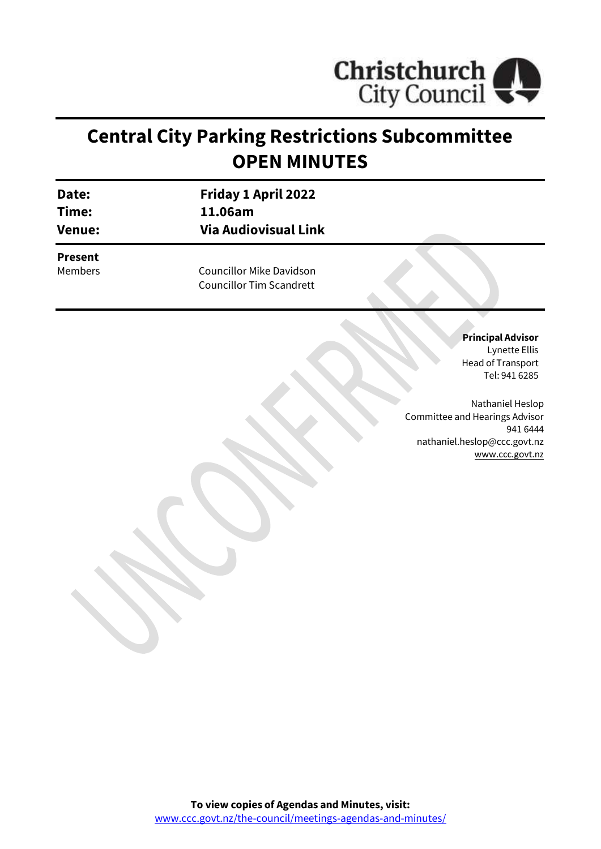

# **Central City Parking Restrictions Subcommittee OPEN MINUTES**

| Date:<br>Time:<br><b>Venue:</b> | <b>Friday 1 April 2022</b><br>11.06am<br><b>Via Audiovisual Link</b> |  |
|---------------------------------|----------------------------------------------------------------------|--|
| <b>Present</b><br>Members       | <b>Councillor Mike Davidson</b><br><b>Councillor Tim Scandrett</b>   |  |

**Principal Advisor** Lynette Ellis Head of Transport Tel: 941 6285

Nathaniel Heslop Committee and Hearings Advisor 941 6444 nathaniel.heslop@ccc.govt.nz [www.ccc.govt.nz](http://www.ccc.govt.nz/)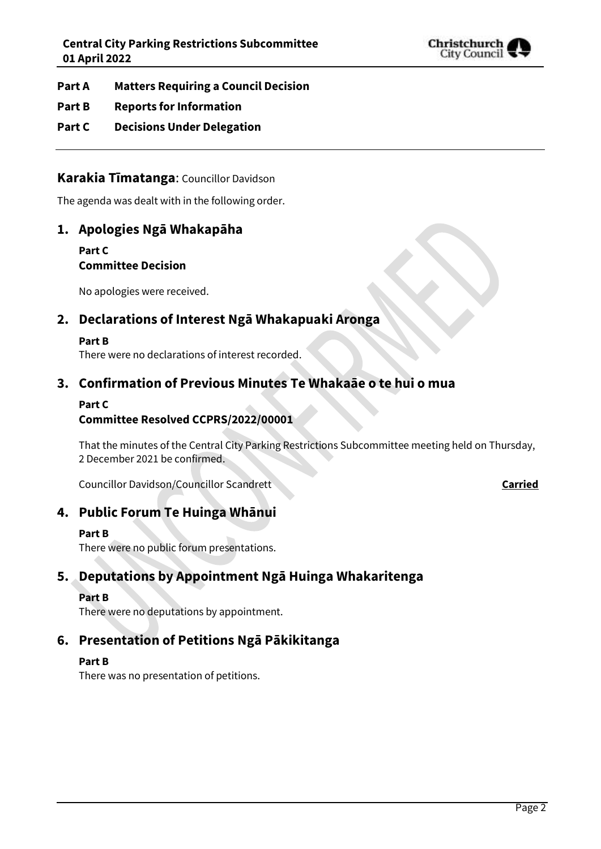

### **Part A Matters Requiring a Council Decision**

### **Part B Reports for Information**

### **Part C Decisions Under Delegation**

### **Karakia Tīmatanga**: Councillor Davidson

The agenda was dealt with in the following order.

# **1. Apologies Ngā Whakapāha**

**Part C Committee Decision**

No apologies were received.

# **2. Declarations of Interest Ngā Whakapuaki Aronga**

#### **Part B**

There were no declarations of interest recorded.

# **3. Confirmation of Previous Minutes Te Whakaāe o te hui o mua**

### **Part C**

### **Committee Resolved CCPRS/2022/00001**

That the minutes of the Central City Parking Restrictions Subcommittee meeting held on Thursday, 2 December 2021 be confirmed.

Councillor Davidson/Councillor Scandrett **Carried** Councillor Davidson/Councillor Scandrett

# **4. Public Forum Te Huinga Whānui**

#### **Part B**

There were no public forum presentations.

# **5. Deputations by Appointment Ngā Huinga Whakaritenga**

#### **Part B**

There were no deputations by appointment.

# **6. Presentation of Petitions Ngā Pākikitanga**

#### **Part B**

There was no presentation of petitions.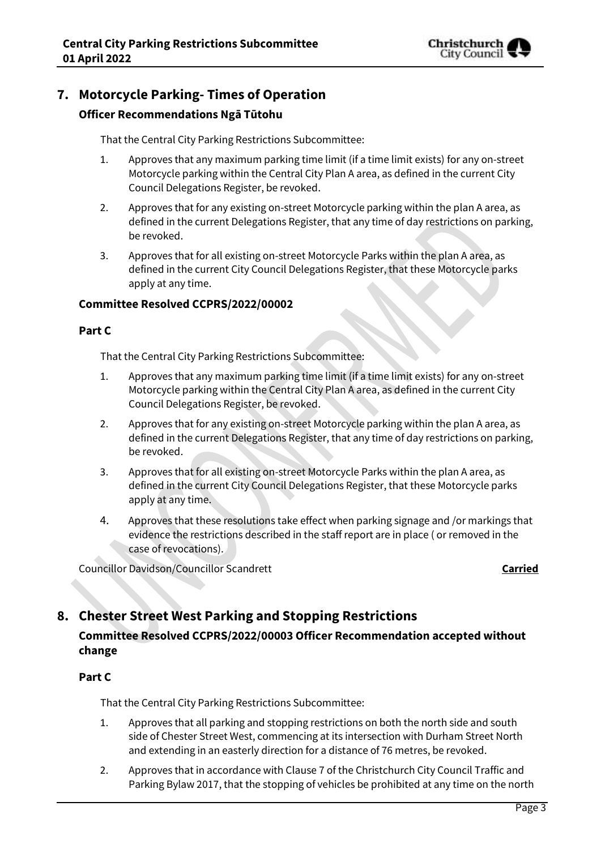

# **7. Motorcycle Parking- Times of Operation**

### **Officer Recommendations Ngā Tūtohu**

That the Central City Parking Restrictions Subcommittee:

- 1. Approves that any maximum parking time limit (if a time limit exists) for any on-street Motorcycle parking within the Central City Plan A area, as defined in the current City Council Delegations Register, be revoked.
- 2. Approves that for any existing on-street Motorcycle parking within the plan A area, as defined in the current Delegations Register, that any time of day restrictions on parking, be revoked.
- 3. Approves that for all existing on-street Motorcycle Parks within the plan A area, as defined in the current City Council Delegations Register, that these Motorcycle parks apply at any time.

### **Committee Resolved CCPRS/2022/00002**

### **Part C**

That the Central City Parking Restrictions Subcommittee:

- 1. Approves that any maximum parking time limit (if a time limit exists) for any on-street Motorcycle parking within the Central City Plan A area, as defined in the current City Council Delegations Register, be revoked.
- 2. Approves that for any existing on-street Motorcycle parking within the plan A area, as defined in the current Delegations Register, that any time of day restrictions on parking, be revoked.
- 3. Approves that for all existing on-street Motorcycle Parks within the plan A area, as defined in the current City Council Delegations Register, that these Motorcycle parks apply at any time.
- 4. Approves that these resolutions take effect when parking signage and /or markings that evidence the restrictions described in the staff report are in place ( or removed in the case of revocations).

Councillor Davidson/Councillor Scandrett **Carried** Councillor Davidson/Councillor Scandrett

# **8. Chester Street West Parking and Stopping Restrictions**

# **Committee Resolved CCPRS/2022/00003 Officer Recommendation accepted without change**

### **Part C**

That the Central City Parking Restrictions Subcommittee:

- 1. Approves that all parking and stopping restrictions on both the north side and south side of Chester Street West, commencing at its intersection with Durham Street North and extending in an easterly direction for a distance of 76 metres, be revoked.
- 2. Approves that in accordance with Clause 7 of the Christchurch City Council Traffic and Parking Bylaw 2017, that the stopping of vehicles be prohibited at any time on the north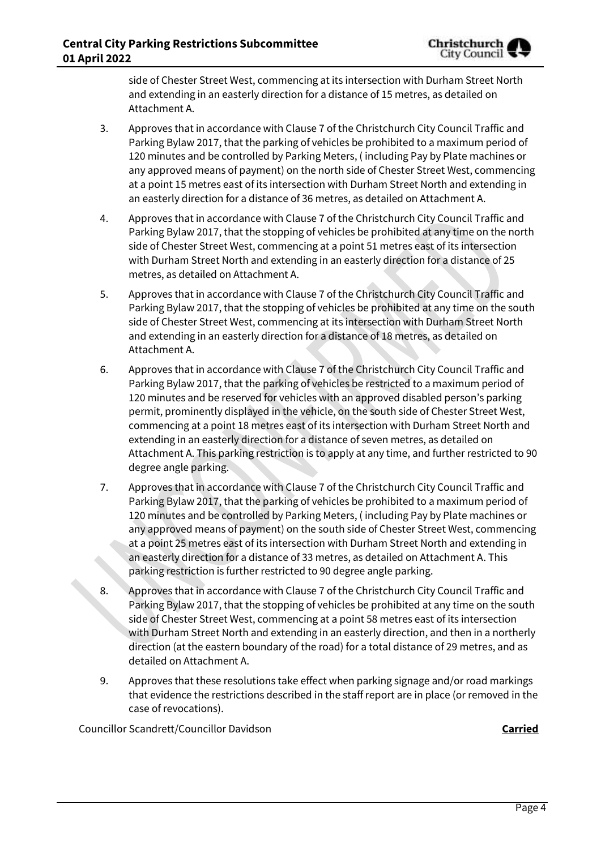side of Chester Street West, commencing at its intersection with Durham Street North and extending in an easterly direction for a distance of 15 metres, as detailed on Attachment A.

- 3. Approves that in accordance with Clause 7 of the Christchurch City Council Traffic and Parking Bylaw 2017, that the parking of vehicles be prohibited to a maximum period of 120 minutes and be controlled by Parking Meters, ( including Pay by Plate machines or any approved means of payment) on the north side of Chester Street West, commencing at a point 15 metres east of its intersection with Durham Street North and extending in an easterly direction for a distance of 36 metres, as detailed on Attachment A.
- 4. Approves that in accordance with Clause 7 of the Christchurch City Council Traffic and Parking Bylaw 2017, that the stopping of vehicles be prohibited at any time on the north side of Chester Street West, commencing at a point 51 metres east of its intersection with Durham Street North and extending in an easterly direction for a distance of 25 metres, as detailed on Attachment A.
- 5. Approves that in accordance with Clause 7 of the Christchurch City Council Traffic and Parking Bylaw 2017, that the stopping of vehicles be prohibited at any time on the south side of Chester Street West, commencing at its intersection with Durham Street North and extending in an easterly direction for a distance of 18 metres, as detailed on Attachment A.
- 6. Approves that in accordance with Clause 7 of the Christchurch City Council Traffic and Parking Bylaw 2017, that the parking of vehicles be restricted to a maximum period of 120 minutes and be reserved for vehicles with an approved disabled person's parking permit, prominently displayed in the vehicle, on the south side of Chester Street West, commencing at a point 18 metres east of its intersection with Durham Street North and extending in an easterly direction for a distance of seven metres, as detailed on Attachment A. This parking restriction is to apply at any time, and further restricted to 90 degree angle parking.
- 7. Approves that in accordance with Clause 7 of the Christchurch City Council Traffic and Parking Bylaw 2017, that the parking of vehicles be prohibited to a maximum period of 120 minutes and be controlled by Parking Meters, ( including Pay by Plate machines or any approved means of payment) on the south side of Chester Street West, commencing at a point 25 metres east of its intersection with Durham Street North and extending in an easterly direction for a distance of 33 metres, as detailed on Attachment A. This parking restriction is further restricted to 90 degree angle parking.
- 8. Approves that in accordance with Clause 7 of the Christchurch City Council Traffic and Parking Bylaw 2017, that the stopping of vehicles be prohibited at any time on the south side of Chester Street West, commencing at a point 58 metres east of its intersection with Durham Street North and extending in an easterly direction, and then in a northerly direction (at the eastern boundary of the road) for a total distance of 29 metres, and as detailed on Attachment A.
- 9. Approves that these resolutions take effect when parking signage and/or road markings that evidence the restrictions described in the staff report are in place (or removed in the case of revocations).

Councillor Scandrett/Councillor Davidson **Carried**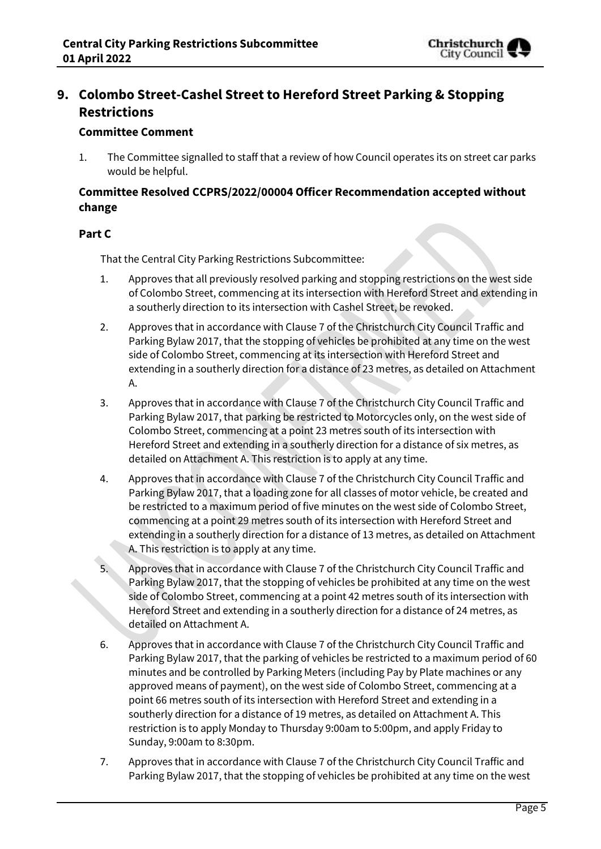

# **9. Colombo Street-Cashel Street to Hereford Street Parking & Stopping Restrictions**

### **Committee Comment**

1. The Committee signalled to staff that a review of how Council operates its on street car parks would be helpful.

### **Committee Resolved CCPRS/2022/00004 Officer Recommendation accepted without change**

### **Part C**

That the Central City Parking Restrictions Subcommittee:

- 1. Approves that all previously resolved parking and stopping restrictions on the west side of Colombo Street, commencing at its intersection with Hereford Street and extending in a southerly direction to its intersection with Cashel Street, be revoked.
- 2. Approves that in accordance with Clause 7 of the Christchurch City Council Traffic and Parking Bylaw 2017, that the stopping of vehicles be prohibited at any time on the west side of Colombo Street, commencing at its intersection with Hereford Street and extending in a southerly direction for a distance of 23 metres, as detailed on Attachment A.
- 3. Approves that in accordance with Clause 7 of the Christchurch City Council Traffic and Parking Bylaw 2017, that parking be restricted to Motorcycles only, on the west side of Colombo Street, commencing at a point 23 metres south of its intersection with Hereford Street and extending in a southerly direction for a distance of six metres, as detailed on Attachment A. This restriction is to apply at any time.
- 4. Approves that in accordance with Clause 7 of the Christchurch City Council Traffic and Parking Bylaw 2017, that a loading zone for all classes of motor vehicle, be created and be restricted to a maximum period of five minutes on the west side of Colombo Street, commencing at a point 29 metres south of its intersection with Hereford Street and extending in a southerly direction for a distance of 13 metres, as detailed on Attachment A. This restriction is to apply at any time.
- 5. Approves that in accordance with Clause 7 of the Christchurch City Council Traffic and Parking Bylaw 2017, that the stopping of vehicles be prohibited at any time on the west side of Colombo Street, commencing at a point 42 metres south of its intersection with Hereford Street and extending in a southerly direction for a distance of 24 metres, as detailed on Attachment A.
- 6. Approves that in accordance with Clause 7 of the Christchurch City Council Traffic and Parking Bylaw 2017, that the parking of vehicles be restricted to a maximum period of 60 minutes and be controlled by Parking Meters (including Pay by Plate machines or any approved means of payment), on the west side of Colombo Street, commencing at a point 66 metres south of its intersection with Hereford Street and extending in a southerly direction for a distance of 19 metres, as detailed on Attachment A. This restriction is to apply Monday to Thursday 9:00am to 5:00pm, and apply Friday to Sunday, 9:00am to 8:30pm.
- 7. Approves that in accordance with Clause 7 of the Christchurch City Council Traffic and Parking Bylaw 2017, that the stopping of vehicles be prohibited at any time on the west